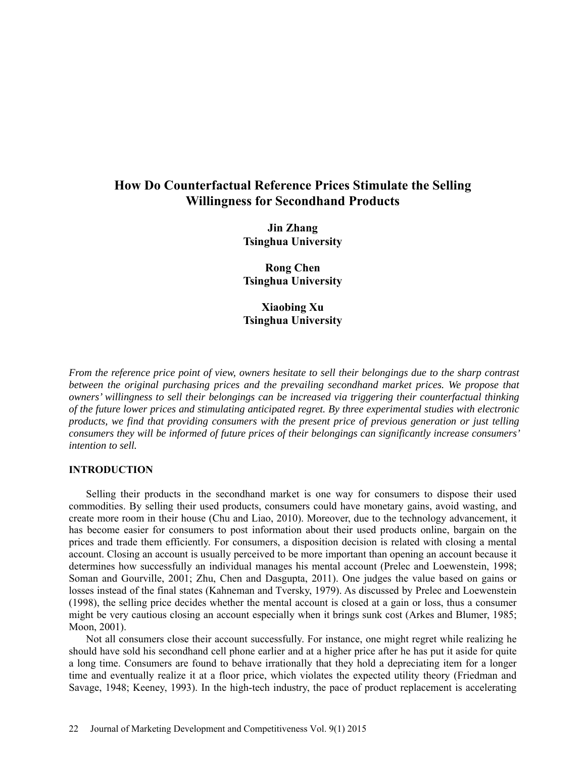# **How Do Counterfactual Reference Prices Stimulate the Selling Willingness for Secondhand Products**

**Jin Zhang Tsinghua University** 

**Rong Chen Tsinghua University** 

**Xiaobing Xu Tsinghua University** 

*From the reference price point of view, owners hesitate to sell their belongings due to the sharp contrast between the original purchasing prices and the prevailing secondhand market prices. We propose that owners' willingness to sell their belongings can be increased via triggering their counterfactual thinking of the future lower prices and stimulating anticipated regret. By three experimental studies with electronic products, we find that providing consumers with the present price of previous generation or just telling consumers they will be informed of future prices of their belongings can significantly increase consumers' intention to sell.* 

## **INTRODUCTION**

Selling their products in the secondhand market is one way for consumers to dispose their used commodities. By selling their used products, consumers could have monetary gains, avoid wasting, and create more room in their house (Chu and Liao, 2010). Moreover, due to the technology advancement, it has become easier for consumers to post information about their used products online, bargain on the prices and trade them efficiently. For consumers, a disposition decision is related with closing a mental account. Closing an account is usually perceived to be more important than opening an account because it determines how successfully an individual manages his mental account (Prelec and Loewenstein, 1998; Soman and Gourville, 2001; Zhu, Chen and Dasgupta, 2011). One judges the value based on gains or losses instead of the final states (Kahneman and Tversky, 1979). As discussed by Prelec and Loewenstein (1998), the selling price decides whether the mental account is closed at a gain or loss, thus a consumer might be very cautious closing an account especially when it brings sunk cost (Arkes and Blumer, 1985; Moon, 2001).

Not all consumers close their account successfully. For instance, one might regret while realizing he should have sold his secondhand cell phone earlier and at a higher price after he has put it aside for quite a long time. Consumers are found to behave irrationally that they hold a depreciating item for a longer time and eventually realize it at a floor price, which violates the expected utility theory (Friedman and Savage, 1948; Keeney, 1993). In the high-tech industry, the pace of product replacement is accelerating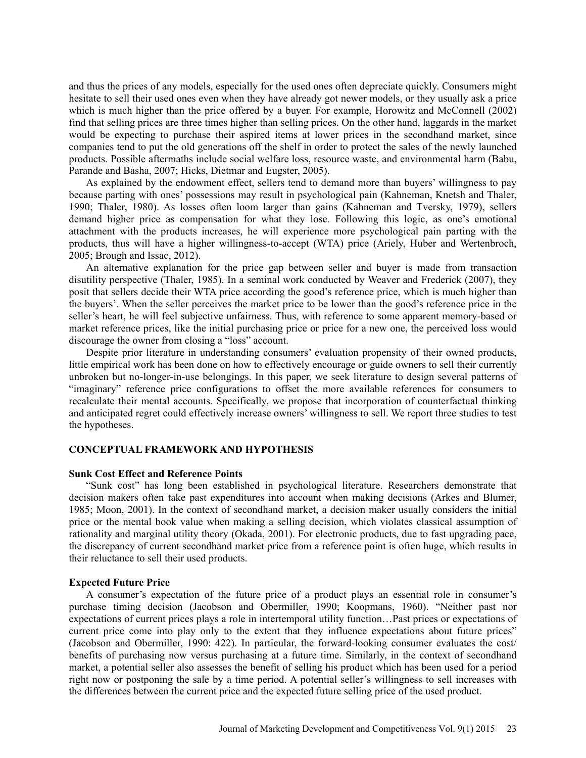and thus the prices of any models, especially for the used ones often depreciate quickly. Consumers might hesitate to sell their used ones even when they have already got newer models, or they usually ask a price which is much higher than the price offered by a buyer. For example, Horowitz and McConnell (2002) find that selling prices are three times higher than selling prices. On the other hand, laggards in the market would be expecting to purchase their aspired items at lower prices in the secondhand market, since companies tend to put the old generations off the shelf in order to protect the sales of the newly launched products. Possible aftermaths include social welfare loss, resource waste, and environmental harm (Babu, Parande and Basha, 2007; Hicks, Dietmar and Eugster, 2005).

As explained by the endowment effect, sellers tend to demand more than buyers' willingness to pay because parting with ones' possessions may result in psychological pain (Kahneman, Knetsh and Thaler, 1990; Thaler, 1980). As losses often loom larger than gains (Kahneman and Tversky, 1979), sellers demand higher price as compensation for what they lose. Following this logic, as one's emotional attachment with the products increases, he will experience more psychological pain parting with the products, thus will have a higher willingness-to-accept (WTA) price (Ariely, Huber and Wertenbroch, 2005; Brough and Issac, 2012).

An alternative explanation for the price gap between seller and buyer is made from transaction disutility perspective (Thaler, 1985). In a seminal work conducted by Weaver and Frederick (2007), they posit that sellers decide their WTA price according the good's reference price, which is much higher than the buyers'. When the seller perceives the market price to be lower than the good's reference price in the seller's heart, he will feel subjective unfairness. Thus, with reference to some apparent memory-based or market reference prices, like the initial purchasing price or price for a new one, the perceived loss would discourage the owner from closing a "loss" account.

Despite prior literature in understanding consumers' evaluation propensity of their owned products, little empirical work has been done on how to effectively encourage or guide owners to sell their currently unbroken but no-longer-in-use belongings. In this paper, we seek literature to design several patterns of "imaginary" reference price configurations to offset the more available references for consumers to recalculate their mental accounts. Specifically, we propose that incorporation of counterfactual thinking and anticipated regret could effectively increase owners' willingness to sell. We report three studies to test the hypotheses.

## **CONCEPTUAL FRAMEWORK AND HYPOTHESIS**

## **Sunk Cost Effect and Reference Points**

"Sunk cost" has long been established in psychological literature. Researchers demonstrate that decision makers often take past expenditures into account when making decisions (Arkes and Blumer, 1985; Moon, 2001). In the context of secondhand market, a decision maker usually considers the initial price or the mental book value when making a selling decision, which violates classical assumption of rationality and marginal utility theory (Okada, 2001). For electronic products, due to fast upgrading pace, the discrepancy of current secondhand market price from a reference point is often huge, which results in their reluctance to sell their used products.

#### **Expected Future Price**

A consumer's expectation of the future price of a product plays an essential role in consumer's purchase timing decision (Jacobson and Obermiller, 1990; Koopmans, 1960). "Neither past nor expectations of current prices plays a role in intertemporal utility function…Past prices or expectations of current price come into play only to the extent that they influence expectations about future prices" (Jacobson and Obermiller, 1990: 422). In particular, the forward-looking consumer evaluates the cost/ benefits of purchasing now versus purchasing at a future time. Similarly, in the context of secondhand market, a potential seller also assesses the benefit of selling his product which has been used for a period right now or postponing the sale by a time period. A potential seller's willingness to sell increases with the differences between the current price and the expected future selling price of the used product.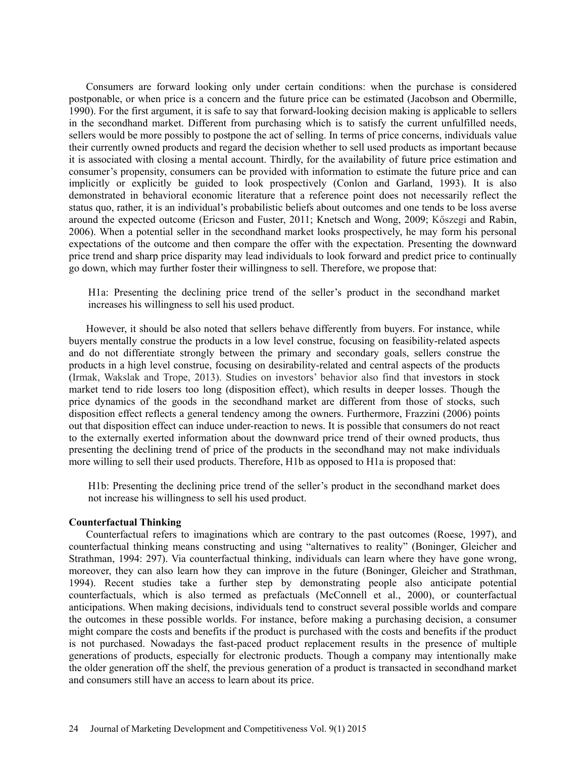Consumers are forward looking only under certain conditions: when the purchase is considered postponable, or when price is a concern and the future price can be estimated (Jacobson and Obermille, 1990). For the first argument, it is safe to say that forward-looking decision making is applicable to sellers in the secondhand market. Different from purchasing which is to satisfy the current unfulfilled needs, sellers would be more possibly to postpone the act of selling. In terms of price concerns, individuals value their currently owned products and regard the decision whether to sell used products as important because it is associated with closing a mental account. Thirdly, for the availability of future price estimation and consumer's propensity, consumers can be provided with information to estimate the future price and can implicitly or explicitly be guided to look prospectively (Conlon and Garland, 1993). It is also demonstrated in behavioral economic literature that a reference point does not necessarily reflect the status quo, rather, it is an individual's probabilistic beliefs about outcomes and one tends to be loss averse around the expected outcome (Ericson and Fuster, 2011; Knetsch and Wong, 2009; Kőszegi and Rabin, 2006). When a potential seller in the secondhand market looks prospectively, he may form his personal expectations of the outcome and then compare the offer with the expectation. Presenting the downward price trend and sharp price disparity may lead individuals to look forward and predict price to continually go down, which may further foster their willingness to sell. Therefore, we propose that:

H1a: Presenting the declining price trend of the seller's product in the secondhand market increases his willingness to sell his used product.

However, it should be also noted that sellers behave differently from buyers. For instance, while buyers mentally construe the products in a low level construe, focusing on feasibility-related aspects and do not differentiate strongly between the primary and secondary goals, sellers construe the products in a high level construe, focusing on desirability-related and central aspects of the products (Irmak, Wakslak and Trope, 2013). Studies on investors' behavior also find that investors in stock market tend to ride losers too long (disposition effect), which results in deeper losses. Though the price dynamics of the goods in the secondhand market are different from those of stocks, such disposition effect reflects a general tendency among the owners. Furthermore, Frazzini (2006) points out that disposition effect can induce under-reaction to news. It is possible that consumers do not react to the externally exerted information about the downward price trend of their owned products, thus presenting the declining trend of price of the products in the secondhand may not make individuals more willing to sell their used products. Therefore, H1b as opposed to H1a is proposed that:

H1b: Presenting the declining price trend of the seller's product in the secondhand market does not increase his willingness to sell his used product.

#### **Counterfactual Thinking**

Counterfactual refers to imaginations which are contrary to the past outcomes (Roese, 1997), and counterfactual thinking means constructing and using "alternatives to reality" (Boninger, Gleicher and Strathman, 1994: 297). Via counterfactual thinking, individuals can learn where they have gone wrong, moreover, they can also learn how they can improve in the future (Boninger, Gleicher and Strathman, 1994). Recent studies take a further step by demonstrating people also anticipate potential counterfactuals, which is also termed as prefactuals (McConnell et al., 2000), or counterfactual anticipations. When making decisions, individuals tend to construct several possible worlds and compare the outcomes in these possible worlds. For instance, before making a purchasing decision, a consumer might compare the costs and benefits if the product is purchased with the costs and benefits if the product is not purchased. Nowadays the fast-paced product replacement results in the presence of multiple generations of products, especially for electronic products. Though a company may intentionally make the older generation off the shelf, the previous generation of a product is transacted in secondhand market and consumers still have an access to learn about its price.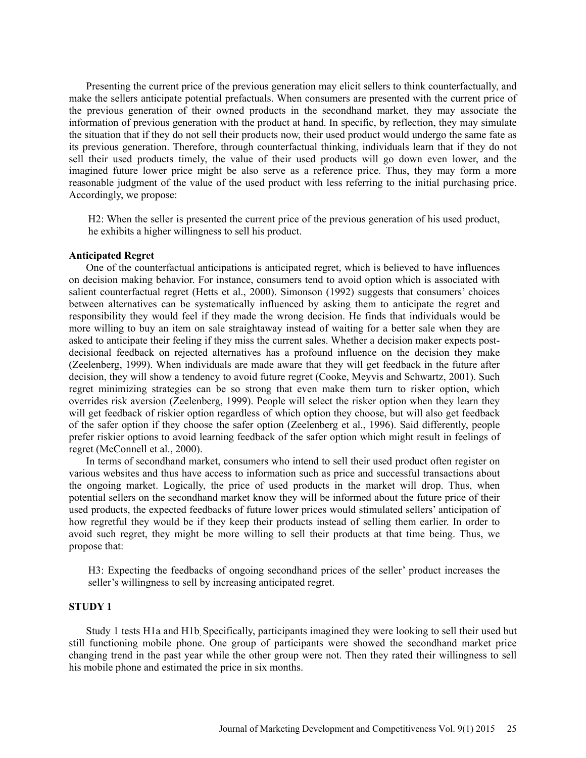Presenting the current price of the previous generation may elicit sellers to think counterfactually, and make the sellers anticipate potential prefactuals. When consumers are presented with the current price of the previous generation of their owned products in the secondhand market, they may associate the information of previous generation with the product at hand. In specific, by reflection, they may simulate the situation that if they do not sell their products now, their used product would undergo the same fate as its previous generation. Therefore, through counterfactual thinking, individuals learn that if they do not sell their used products timely, the value of their used products will go down even lower, and the imagined future lower price might be also serve as a reference price. Thus, they may form a more reasonable judgment of the value of the used product with less referring to the initial purchasing price. Accordingly, we propose:

H2: When the seller is presented the current price of the previous generation of his used product, he exhibits a higher willingness to sell his product.

#### **Anticipated Regret**

One of the counterfactual anticipations is anticipated regret, which is believed to have influences on decision making behavior. For instance, consumers tend to avoid option which is associated with salient counterfactual regret (Hetts et al., 2000). Simonson (1992) suggests that consumers' choices between alternatives can be systematically influenced by asking them to anticipate the regret and responsibility they would feel if they made the wrong decision. He finds that individuals would be more willing to buy an item on sale straightaway instead of waiting for a better sale when they are asked to anticipate their feeling if they miss the current sales. Whether a decision maker expects postdecisional feedback on rejected alternatives has a profound influence on the decision they make (Zeelenberg, 1999). When individuals are made aware that they will get feedback in the future after decision, they will show a tendency to avoid future regret (Cooke, Meyvis and Schwartz, 2001). Such regret minimizing strategies can be so strong that even make them turn to risker option, which overrides risk aversion (Zeelenberg, 1999). People will select the risker option when they learn they will get feedback of riskier option regardless of which option they choose, but will also get feedback of the safer option if they choose the safer option (Zeelenberg et al., 1996). Said differently, people prefer riskier options to avoid learning feedback of the safer option which might result in feelings of regret (McConnell et al., 2000).

In terms of secondhand market, consumers who intend to sell their used product often register on various websites and thus have access to information such as price and successful transactions about the ongoing market. Logically, the price of used products in the market will drop. Thus, when potential sellers on the secondhand market know they will be informed about the future price of their used products, the expected feedbacks of future lower prices would stimulated sellers' anticipation of how regretful they would be if they keep their products instead of selling them earlier. In order to avoid such regret, they might be more willing to sell their products at that time being. Thus, we propose that:

H3: Expecting the feedbacks of ongoing secondhand prices of the seller' product increases the seller's willingness to sell by increasing anticipated regret.

## **STUDY 1**

Study 1 tests H1a and H1b. Specifically, participants imagined they were looking to sell their used but still functioning mobile phone. One group of participants were showed the secondhand market price changing trend in the past year while the other group were not. Then they rated their willingness to sell his mobile phone and estimated the price in six months.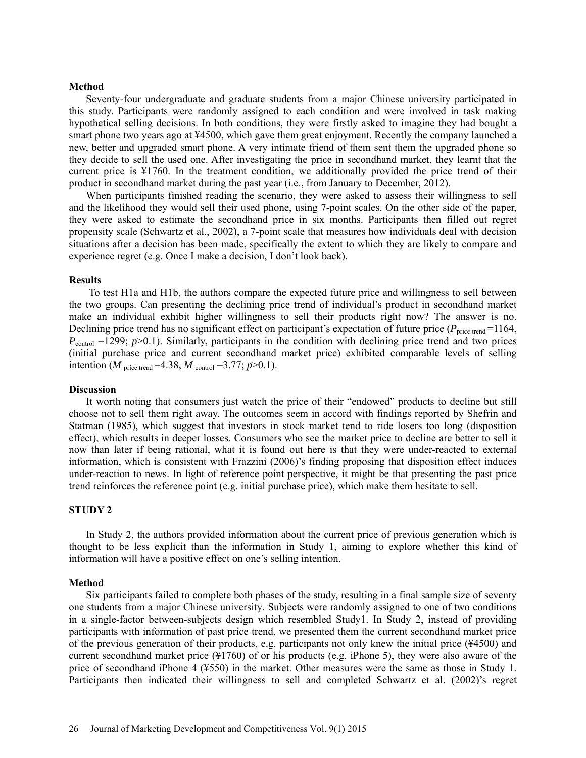#### **Method**

Seventy-four undergraduate and graduate students from a major Chinese university participated in this study. Participants were randomly assigned to each condition and were involved in task making hypothetical selling decisions. In both conditions, they were firstly asked to imagine they had bought a smart phone two years ago at ¥4500, which gave them great enjoyment. Recently the company launched a new, better and upgraded smart phone. A very intimate friend of them sent them the upgraded phone so they decide to sell the used one. After investigating the price in secondhand market, they learnt that the current price is ¥1760. In the treatment condition, we additionally provided the price trend of their product in secondhand market during the past year (i.e., from January to December, 2012).

When participants finished reading the scenario, they were asked to assess their willingness to sell and the likelihood they would sell their used phone, using 7-point scales. On the other side of the paper, they were asked to estimate the secondhand price in six months. Participants then filled out regret propensity scale (Schwartz et al., 2002), a 7-point scale that measures how individuals deal with decision situations after a decision has been made, specifically the extent to which they are likely to compare and experience regret (e.g. Once I make a decision, I don't look back).

#### **Results**

To test H1a and H1b, the authors compare the expected future price and willingness to sell between the two groups. Can presenting the declining price trend of individual's product in secondhand market make an individual exhibit higher willingness to sell their products right now? The answer is no. Declining price trend has no significant effect on participant's expectation of future price ( $P<sub>price trend</sub> = 1164$ ,  $P_{\text{control}}$  =1299;  $p$  >0.1). Similarly, participants in the condition with declining price trend and two prices (initial purchase price and current secondhand market price) exhibited comparable levels of selling intention (*M* price trend =4.38, *M* control =3.77;  $p > 0.1$ ).

#### **Discussion**

It worth noting that consumers just watch the price of their "endowed" products to decline but still choose not to sell them right away. The outcomes seem in accord with findings reported by Shefrin and Statman (1985), which suggest that investors in stock market tend to ride losers too long (disposition effect), which results in deeper losses. Consumers who see the market price to decline are better to sell it now than later if being rational, what it is found out here is that they were under-reacted to external information, which is consistent with Frazzini (2006)'s finding proposing that disposition effect induces under-reaction to news. In light of reference point perspective, it might be that presenting the past price trend reinforces the reference point (e.g. initial purchase price), which make them hesitate to sell.

## **STUDY 2**

In Study 2, the authors provided information about the current price of previous generation which is thought to be less explicit than the information in Study 1, aiming to explore whether this kind of information will have a positive effect on one's selling intention.

#### **Method**

Six participants failed to complete both phases of the study, resulting in a final sample size of seventy one students from a major Chinese university. Subjects were randomly assigned to one of two conditions in a single-factor between-subjects design which resembled Study1. In Study 2, instead of providing participants with information of past price trend, we presented them the current secondhand market price of the previous generation of their products, e.g. participants not only knew the initial price (¥4500) and current secondhand market price (¥1760) of or his products (e.g. iPhone 5), they were also aware of the price of secondhand iPhone 4 (¥550) in the market. Other measures were the same as those in Study 1. Participants then indicated their willingness to sell and completed Schwartz et al. (2002)'s regret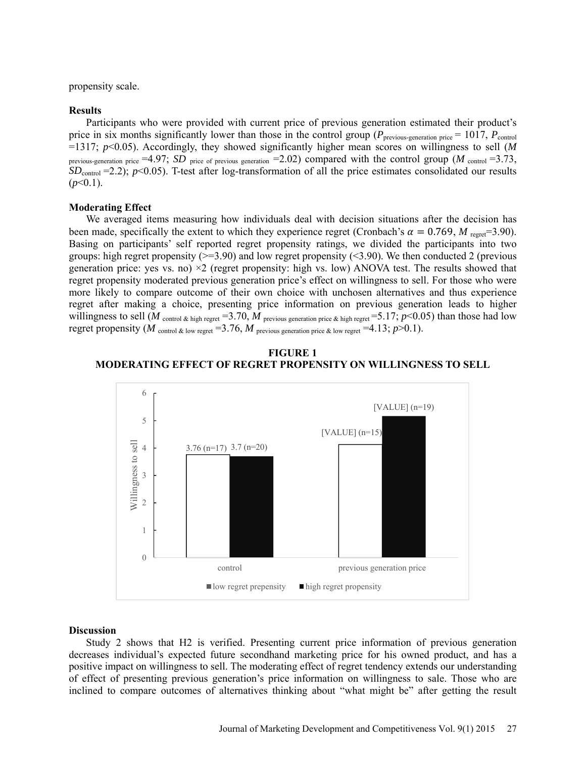propensity scale.

#### **Results**

Participants who were provided with current price of previous generation estimated their product's price in six months significantly lower than those in the control group ( $P_{previous-generation\ price} = 1017$ ,  $P_{control}$ =1317; *p*<0.05). Accordingly, they showed significantly higher mean scores on willingness to sell (*M* previous-generation price  $=4.97$ ; *SD* price of previous generation  $=2.02$ ) compared with the control group (*M* control  $=3.73$ , *SD*<sub>control</sub> =2.2); *p*<0.05). T-test after log-transformation of all the price estimates consolidated our results  $(p<0.1)$ .

#### **Moderating Effect**

We averaged items measuring how individuals deal with decision situations after the decision has been made, specifically the extent to which they experience regret (Cronbach's  $\alpha = 0.769$ , *M* regret=3.90). Basing on participants' self reported regret propensity ratings, we divided the participants into two groups: high regret propensity ( $\geq$ =3.90) and low regret propensity ( $\leq$ 3.90). We then conducted 2 (previous generation price: yes vs. no)  $\times$ 2 (regret propensity: high vs. low) ANOVA test. The results showed that regret propensity moderated previous generation price's effect on willingness to sell. For those who were more likely to compare outcome of their own choice with unchosen alternatives and thus experience regret after making a choice, presenting price information on previous generation leads to higher willingness to sell (*M* control  $\&$  high regret =3.70, *M* previous generation price  $\&$  high regret =5.17; *p*<0.05) than those had low regret propensity (*M* control & low regret =3.76, *M* previous generation price & low regret =4.13;  $p > 0.1$ ).





#### **Discussion**

Study 2 shows that H2 is verified. Presenting current price information of previous generation decreases individual's expected future secondhand marketing price for his owned product, and has a positive impact on willingness to sell. The moderating effect of regret tendency extends our understanding of effect of presenting previous generation's price information on willingness to sale. Those who are inclined to compare outcomes of alternatives thinking about "what might be" after getting the result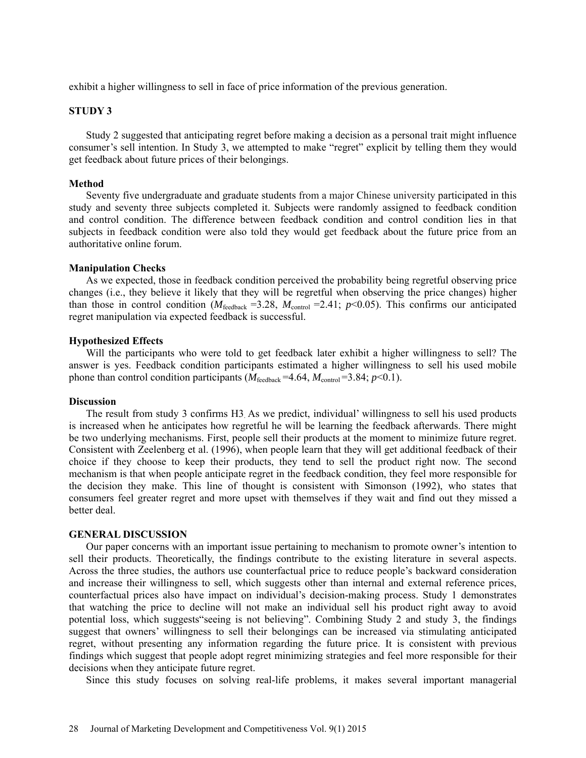exhibit a higher willingness to sell in face of price information of the previous generation.

## **STUDY 3**

Study 2 suggested that anticipating regret before making a decision as a personal trait might influence consumer's sell intention. In Study 3, we attempted to make "regret" explicit by telling them they would get feedback about future prices of their belongings.

#### **Method**

Seventy five undergraduate and graduate students from a major Chinese university participated in this study and seventy three subjects completed it. Subjects were randomly assigned to feedback condition and control condition. The difference between feedback condition and control condition lies in that subjects in feedback condition were also told they would get feedback about the future price from an authoritative online forum.

## **Manipulation Checks**

As we expected, those in feedback condition perceived the probability being regretful observing price changes (i.e., they believe it likely that they will be regretful when observing the price changes) higher than those in control condition ( $M_{\text{feedback}} = 3.28$ ,  $M_{\text{control}} = 2.41$ ;  $p < 0.05$ ). This confirms our anticipated regret manipulation via expected feedback is successful.

#### **Hypothesized Effects**

Will the participants who were told to get feedback later exhibit a higher willingness to sell? The answer is yes. Feedback condition participants estimated a higher willingness to sell his used mobile phone than control condition participants ( $M_{\text{feedback}} = 4.64$ ,  $M_{\text{control}} = 3.84$ ;  $p < 0.1$ ).

#### **Discussion**

The result from study 3 confirms H3. As we predict, individual' willingness to sell his used products is increased when he anticipates how regretful he will be learning the feedback afterwards. There might be two underlying mechanisms. First, people sell their products at the moment to minimize future regret. Consistent with Zeelenberg et al. (1996), when people learn that they will get additional feedback of their choice if they choose to keep their products, they tend to sell the product right now. The second mechanism is that when people anticipate regret in the feedback condition, they feel more responsible for the decision they make. This line of thought is consistent with Simonson (1992), who states that consumers feel greater regret and more upset with themselves if they wait and find out they missed a better deal.

#### **GENERAL DISCUSSION**

Our paper concerns with an important issue pertaining to mechanism to promote owner's intention to sell their products. Theoretically, the findings contribute to the existing literature in several aspects. Across the three studies, the authors use counterfactual price to reduce people's backward consideration and increase their willingness to sell, which suggests other than internal and external reference prices, counterfactual prices also have impact on individual's decision-making process. Study 1 demonstrates that watching the price to decline will not make an individual sell his product right away to avoid potential loss, which suggests"seeing is not believing". Combining Study 2 and study 3, the findings suggest that owners' willingness to sell their belongings can be increased via stimulating anticipated regret, without presenting any information regarding the future price. It is consistent with previous findings which suggest that people adopt regret minimizing strategies and feel more responsible for their decisions when they anticipate future regret.

Since this study focuses on solving real-life problems, it makes several important managerial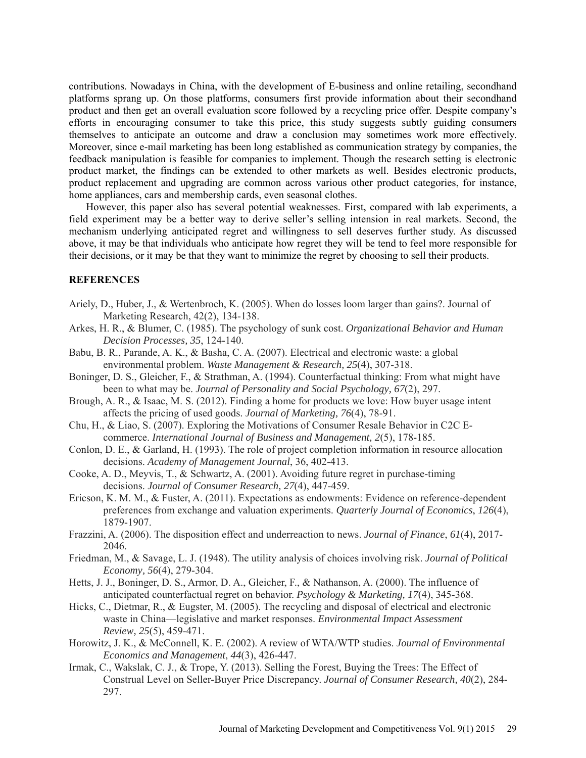contributions. Nowadays in China, with the development of E-business and online retailing, secondhand platforms sprang up. On those platforms, consumers first provide information about their secondhand product and then get an overall evaluation score followed by a recycling price offer. Despite company's efforts in encouraging consumer to take this price, this study suggests subtly guiding consumers themselves to anticipate an outcome and draw a conclusion may sometimes work more effectively. Moreover, since e-mail marketing has been long established as communication strategy by companies, the feedback manipulation is feasible for companies to implement. Though the research setting is electronic product market, the findings can be extended to other markets as well. Besides electronic products, product replacement and upgrading are common across various other product categories, for instance, home appliances, cars and membership cards, even seasonal clothes.

However, this paper also has several potential weaknesses. First, compared with lab experiments, a field experiment may be a better way to derive seller's selling intension in real markets. Second, the mechanism underlying anticipated regret and willingness to sell deserves further study. As discussed above, it may be that individuals who anticipate how regret they will be tend to feel more responsible for their decisions, or it may be that they want to minimize the regret by choosing to sell their products.

## **REFERENCES**

- Ariely, D., Huber, J., & Wertenbroch, K. (2005). When do losses loom larger than gains?. Journal of Marketing Research, 42(2), 134-138.
- Arkes, H. R., & Blumer, C. (1985). The psychology of sunk cost. *Organizational Behavior and Human Decision Processes, 35*, 124-140.
- Babu, B. R., Parande, A. K., & Basha, C. A. (2007). Electrical and electronic waste: a global environmental problem. *Waste Management & Research, 25*(4), 307-318.
- Boninger, D. S., Gleicher, F., & Strathman, A. (1994). Counterfactual thinking: From what might have been to what may be. *Journal of Personality and Social Psychology, 67*(2), 297.
- Brough, A. R., & Isaac, M. S. (2012). Finding a home for products we love: How buyer usage intent affects the pricing of used goods. *Journal of Marketing, 76*(4), 78-91.
- Chu, H., & Liao, S. (2007). Exploring the Motivations of Consumer Resale Behavior in C2C Ecommerce. *International Journal of Business and Management, 2*(5), 178-185.
- Conlon, D. E., & Garland, H. (1993). The role of project completion information in resource allocation decisions. *Academy of Management Journal*, 36, 402-413.
- Cooke, A. D., Meyvis, T., & Schwartz, A. (2001). Avoiding future regret in purchase-timing decisions. *Journal of Consumer Research, 27*(4), 447-459.
- Ericson, K. M. M., & Fuster, A. (2011). Expectations as endowments: Evidence on reference-dependent preferences from exchange and valuation experiments. *Quarterly Journal of Economics*, *126*(4), 1879-1907.
- Frazzini, A. (2006). The disposition effect and underreaction to news. *Journal of Finance*, *61*(4), 2017- 2046.
- Friedman, M., & Savage, L. J. (1948). The utility analysis of choices involving risk. *Journal of Political Economy, 56*(4), 279-304.
- Hetts, J. J., Boninger, D. S., Armor, D. A., Gleicher, F., & Nathanson, A. (2000). The influence of anticipated counterfactual regret on behavior. *Psychology & Marketing, 17*(4), 345-368.
- Hicks, C., Dietmar, R., & Eugster, M. (2005). The recycling and disposal of electrical and electronic waste in China—legislative and market responses. *Environmental Impact Assessment Review, 25*(5), 459-471.
- Horowitz, J. K., & McConnell, K. E. (2002). A review of WTA/WTP studies. *Journal of Environmental Economics and Management*, *44*(3), 426-447.
- Irmak, C., Wakslak, C. J., & Trope, Y. (2013). Selling the Forest, Buying the Trees: The Effect of Construal Level on Seller-Buyer Price Discrepancy. *Journal of Consumer Research, 40*(2), 284- 297.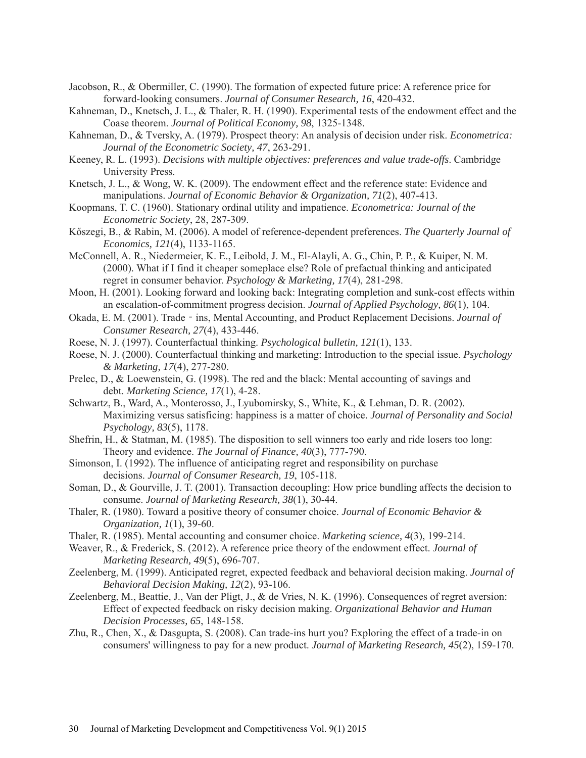- Jacobson, R., & Obermiller, C. (1990). The formation of expected future price: A reference price for forward-looking consumers. *Journal of Consumer Research, 16*, 420-432.
- Kahneman, D., Knetsch, J. L., & Thaler, R. H. (1990). Experimental tests of the endowment effect and the Coase theorem. *Journal of Political Economy, 98*, 1325-1348.
- Kahneman, D., & Tversky, A. (1979). Prospect theory: An analysis of decision under risk. *Econometrica: Journal of the Econometric Society, 47*, 263-291.
- Keeney, R. L. (1993). *Decisions with multiple objectives: preferences and value trade-offs*. Cambridge University Press.
- Knetsch, J. L., & Wong, W. K. (2009). The endowment effect and the reference state: Evidence and manipulations. *Journal of Economic Behavior & Organization, 71*(2), 407-413.
- Koopmans, T. C. (1960). Stationary ordinal utility and impatience. *Econometrica: Journal of the Econometric Society*, 28, 287-309.
- Kőszegi, B., & Rabin, M. (2006). A model of reference-dependent preferences. *The Quarterly Journal of Economics, 121*(4), 1133-1165.
- McConnell, A. R., Niedermeier, K. E., Leibold, J. M., El-Alayli, A. G., Chin, P. P., & Kuiper, N. M. (2000). What if I find it cheaper someplace else? Role of prefactual thinking and anticipated regret in consumer behavior. *Psychology & Marketing, 17*(4), 281-298.
- Moon, H. (2001). Looking forward and looking back: Integrating completion and sunk-cost effects within an escalation-of-commitment progress decision. *Journal of Applied Psychology, 86*(1), 104.
- Okada, E. M. (2001). Trade‐ins, Mental Accounting, and Product Replacement Decisions. *Journal of Consumer Research, 27*(4), 433-446.
- Roese, N. J. (1997). Counterfactual thinking. *Psychological bulletin, 121*(1), 133.
- Roese, N. J. (2000). Counterfactual thinking and marketing: Introduction to the special issue. *Psychology & Marketing, 17*(4), 277-280.
- Prelec, D., & Loewenstein, G. (1998). The red and the black: Mental accounting of savings and debt. *Marketing Science, 17*(1), 4-28.
- Schwartz, B., Ward, A., Monterosso, J., Lyubomirsky, S., White, K., & Lehman, D. R. (2002). Maximizing versus satisficing: happiness is a matter of choice. *Journal of Personality and Social Psychology, 83*(5), 1178.
- Shefrin, H., & Statman, M. (1985). The disposition to sell winners too early and ride losers too long: Theory and evidence. *The Journal of Finance, 40*(3), 777-790.
- Simonson, I. (1992). The influence of anticipating regret and responsibility on purchase decisions. *Journal of Consumer Research, 19*, 105-118.
- Soman, D., & Gourville, J. T. (2001). Transaction decoupling: How price bundling affects the decision to consume. *Journal of Marketing Research, 38*(1), 30-44.
- Thaler, R. (1980). Toward a positive theory of consumer choice. *Journal of Economic Behavior & Organization, 1*(1), 39-60.
- Thaler, R. (1985). Mental accounting and consumer choice. *Marketing science, 4*(3), 199-214.
- Weaver, R., & Frederick, S. (2012). A reference price theory of the endowment effect. *Journal of Marketing Research, 49*(5), 696-707.
- Zeelenberg, M. (1999). Anticipated regret, expected feedback and behavioral decision making. *Journal of Behavioral Decision Making, 12*(2), 93-106.
- Zeelenberg, M., Beattie, J., Van der Pligt, J., & de Vries, N. K. (1996). Consequences of regret aversion: Effect of expected feedback on risky decision making. *Organizational Behavior and Human Decision Processes, 65*, 148-158.
- Zhu, R., Chen, X., & Dasgupta, S. (2008). Can trade-ins hurt you? Exploring the effect of a trade-in on consumers' willingness to pay for a new product. *Journal of Marketing Research, 45*(2), 159-170.